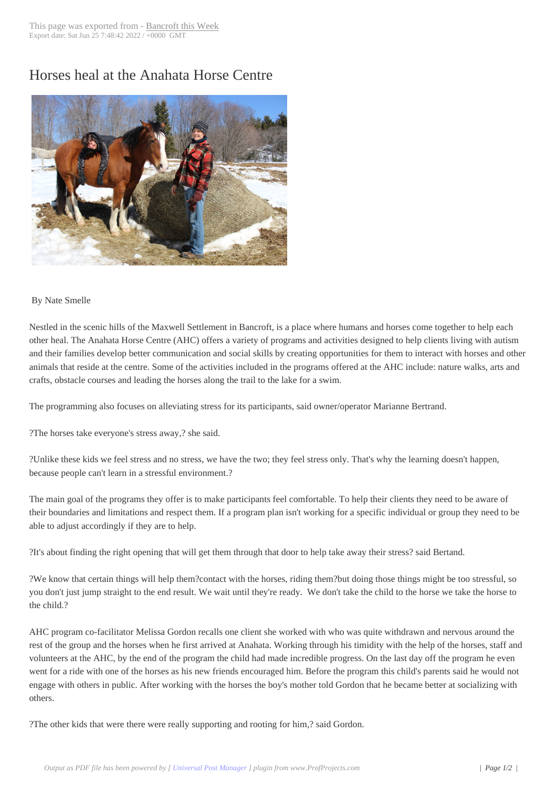## Horses heal at the [Anahata Hors](http://www.bancroftthisweek.com/?p=4408)e Centre



## By Nate Smelle

Nestled in the scenic hills of the Maxwell Settlement in Bancroft, is a place where humans and horses come together to help each other heal. The Anahata Horse Centre (AHC) offers a variety of programs and activities designed to help clients living with autism and their families develop better communication and social skills by creating opportunities for them to interact with horses and other animals that reside at the centre. Some of the activities included in the programs offered at the AHC include: nature walks, arts and crafts, obstacle courses and leading the horses along the trail to the lake for a swim.

The programming also focuses on alleviating stress for its participants, said owner/operator Marianne Bertrand.

?The horses take everyone's stress away,? she said.

?Unlike these kids we feel stress and no stress, we have the two; they feel stress only. That's why the learning doesn't happen, because people can't learn in a stressful environment.?

The main goal of the programs they offer is to make participants feel comfortable. To help their clients they need to be aware of their boundaries and limitations and respect them. If a program plan isn't working for a specific individual or group they need to be able to adjust accordingly if they are to help.

?It's about finding the right opening that will get them through that door to help take away their stress? said Bertand.

?We know that certain things will help them?contact with the horses, riding them?but doing those things might be too stressful, so you don't just jump straight to the end result. We wait until they're ready. We don't take the child to the horse we take the horse to the child.?

AHC program co-facilitator Melissa Gordon recalls one client she worked with who was quite withdrawn and nervous around the rest of the group and the horses when he first arrived at Anahata. Working through his timidity with the help of the horses, staff and volunteers at the AHC, by the end of the program the child had made incredible progress. On the last day off the program he even went for a ride with one of the horses as his new friends encouraged him. Before the program this child's parents said he would not engage with others in public. After working with the horses the boy's mother told Gordon that he became better at socializing with others.

?The other kids that were there were really supporting and rooting for him,? said Gordon.